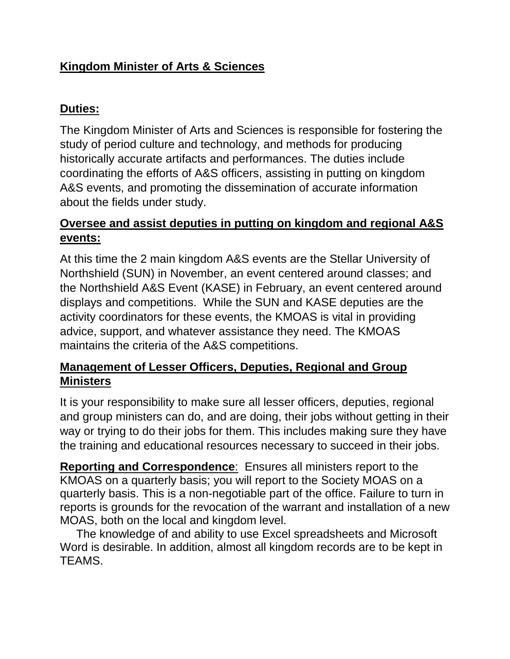# **Kingdom Minister of Arts & Sciences**

#### **Duties:**

The Kingdom Minister of Arts and Sciences is responsible for fostering the study of period culture and technology, and methods for producing historically accurate artifacts and performances. The duties include coordinating the efforts of A&S officers, assisting in putting on kingdom A&S events, and promoting the dissemination of accurate information about the fields under study.

## **Oversee and assist deputies in putting on kingdom and regional A&S events:**

At this time the 2 main kingdom A&S events are the Stellar University of Northshield (SUN) in November, an event centered around classes; and the Northshield A&S Event (KASE) in February, an event centered around displays and competitions. While the SUN and KASE deputies are the activity coordinators for these events, the KMOAS is vital in providing advice, support, and whatever assistance they need. The KMOAS maintains the criteria of the A&S competitions.

# **Management of Lesser Officers, Deputies, Regional and Group Ministers**

It is your responsibility to make sure all lesser officers, deputies, regional and group ministers can do, and are doing, their jobs without getting in their way or trying to do their jobs for them. This includes making sure they have the training and educational resources necessary to succeed in their jobs.

**Reporting and Correspondence**: Ensures all ministers report to the KMOAS on a quarterly basis; you will report to the Society MOAS on a quarterly basis. This is a non-negotiable part of the office. Failure to turn in reports is grounds for the revocation of the warrant and installation of a new MOAS, both on the local and kingdom level.

 The knowledge of and ability to use Excel spreadsheets and Microsoft Word is desirable. In addition, almost all kingdom records are to be kept in TEAMS.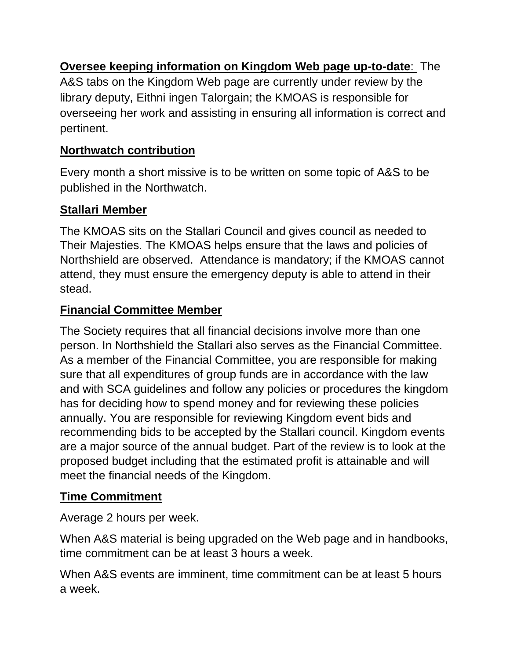**Oversee keeping information on Kingdom Web page up-to-date**: The A&S tabs on the Kingdom Web page are currently under review by the library deputy, Eithni ingen Talorgain; the KMOAS is responsible for overseeing her work and assisting in ensuring all information is correct and pertinent.

# **Northwatch contribution**

Every month a short missive is to be written on some topic of A&S to be published in the Northwatch.

#### **Stallari Member**

The KMOAS sits on the Stallari Council and gives council as needed to Their Majesties. The KMOAS helps ensure that the laws and policies of Northshield are observed. Attendance is mandatory; if the KMOAS cannot attend, they must ensure the emergency deputy is able to attend in their stead.

#### **Financial Committee Member**

The Society requires that all financial decisions involve more than one person. In Northshield the Stallari also serves as the Financial Committee. As a member of the Financial Committee, you are responsible for making sure that all expenditures of group funds are in accordance with the law and with SCA guidelines and follow any policies or procedures the kingdom has for deciding how to spend money and for reviewing these policies annually. You are responsible for reviewing Kingdom event bids and recommending bids to be accepted by the Stallari council. Kingdom events are a major source of the annual budget. Part of the review is to look at the proposed budget including that the estimated profit is attainable and will meet the financial needs of the Kingdom.

# **Time Commitment**

Average 2 hours per week.

When A&S material is being upgraded on the Web page and in handbooks, time commitment can be at least 3 hours a week.

When A&S events are imminent, time commitment can be at least 5 hours a week.